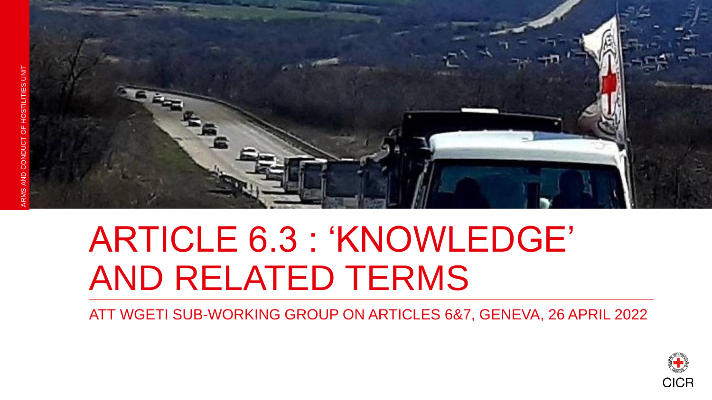

## ARTICLE 6.3 : 'KNOWLEDGE' AND RELATED TERMS

ATT WGETI SUB-WORKING GROUP ON ARTICLES 6&7, GENEVA, 26 APRIL 2022

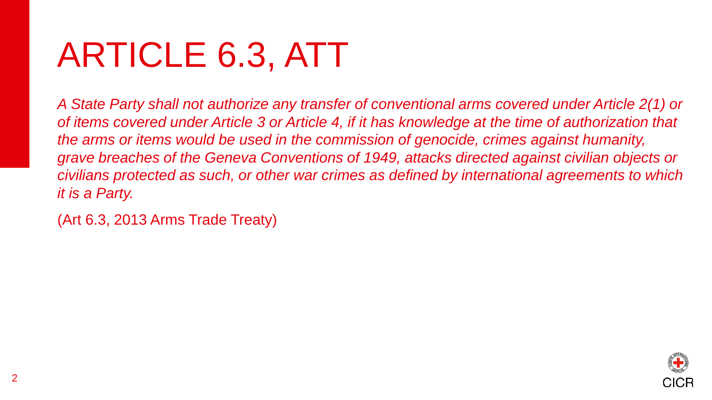# ARTICLE 6.3, ATT

*A State Party shall not authorize any transfer of conventional arms covered under Article 2(1) or of items covered under Article 3 or Article 4, if it has knowledge at the time of authorization that the arms or items would be used in the commission of genocide, crimes against humanity, grave breaches of the Geneva Conventions of 1949, attacks directed against civilian objects or civilians protected as such, or other war crimes as defined by international agreements to which it is a Party.* 

(Art 6.3, 2013 Arms Trade Treaty)

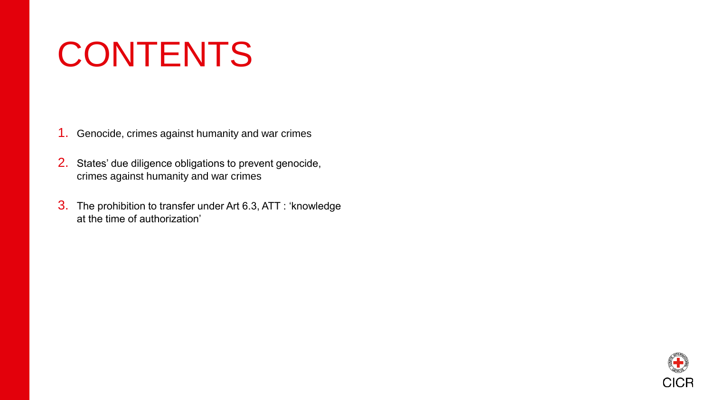# CONTENTS

1. Genocide, crimes against humanity and war crimes

- 2. States' due diligence obligations to prevent genocide, crimes against humanity and war crimes
- 3. The prohibition to transfer under Art 6.3, ATT : 'knowledge at the time of authorization'

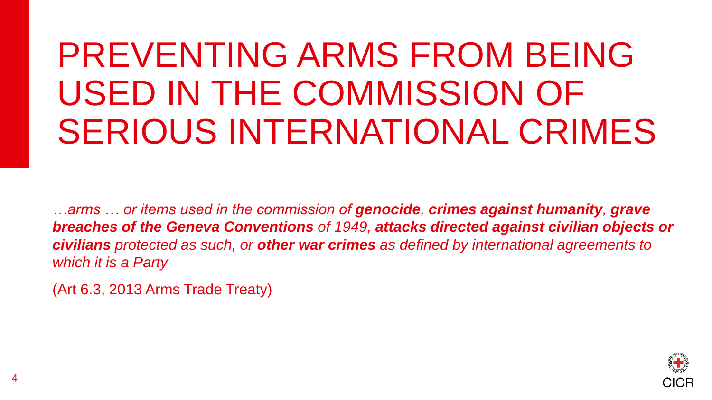# PREVENTING ARMS FROM BEING USED IN THE COMMISSION OF SERIOUS INTERNATIONAL CRIMES

*…arms … or items used in the commission of genocide, crimes against humanity, grave breaches of the Geneva Conventions of 1949, attacks directed against civilian objects or civilians protected as such, or other war crimes as defined by international agreements to which it is a Party* 

(Art 6.3, 2013 Arms Trade Treaty)

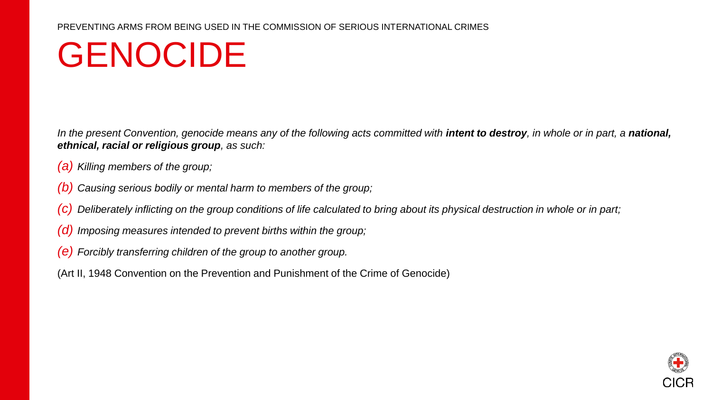## GENOCIDE

In the present Convention, genocide means any of the following acts committed with **intent to destroy**, in whole or in part, a **national,** *ethnical, racial or religious group, as such:* 

- *(a) Killing members of the group;*
- *(b) Causing serious bodily or mental harm to members of the group;*
- *(c) Deliberately inflicting on the group conditions of life calculated to bring about its physical destruction in whole or in part;*
- *(d) Imposing measures intended to prevent births within the group;*
- *(e) Forcibly transferring children of the group to another group.*

(Art II, 1948 Convention on the Prevention and Punishment of the Crime of Genocide)

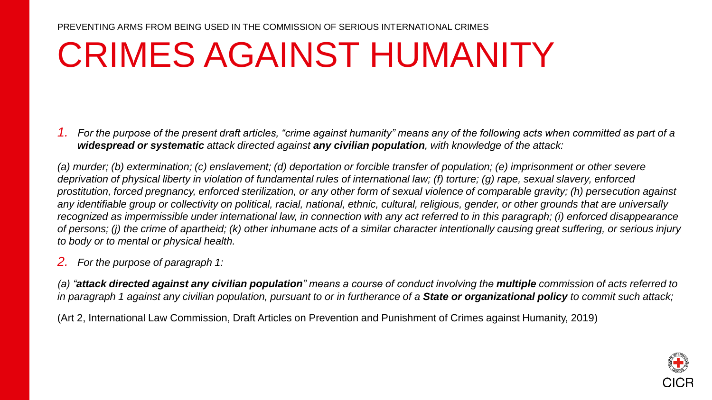## CRIMES AGAINST HUMANITY

*1. For the purpose of the present draft articles, "crime against humanity" means any of the following acts when committed as part of a widespread or systematic attack directed against any civilian population, with knowledge of the attack:* 

(a) murder; (b) extermination; (c) enslavement; (d) deportation or forcible transfer of population; (e) imprisonment or other severe *deprivation of physical liberty in violation of fundamental rules of international law; (f) torture; (g) rape, sexual slavery, enforced prostitution, forced pregnancy, enforced sterilization, or any other form of sexual violence of comparable gravity; (h) persecution against any identifiable group or collectivity on political, racial, national, ethnic, cultural, religious, gender, or other grounds that are universally recognized as impermissible under international law, in connection with any act referred to in this paragraph; (i) enforced disappearance of persons; (j) the crime of apartheid; (k) other inhumane acts of a similar character intentionally causing great suffering, or serious injury to body or to mental or physical health.* 

*2. For the purpose of paragraph 1:* 

*(a) "attack directed against any civilian population" means a course of conduct involving the multiple commission of acts referred to in paragraph 1 against any civilian population, pursuant to or in furtherance of a State or organizational policy to commit such attack;* 

(Art 2, International Law Commission, Draft Articles on Prevention and Punishment of Crimes against Humanity, 2019)

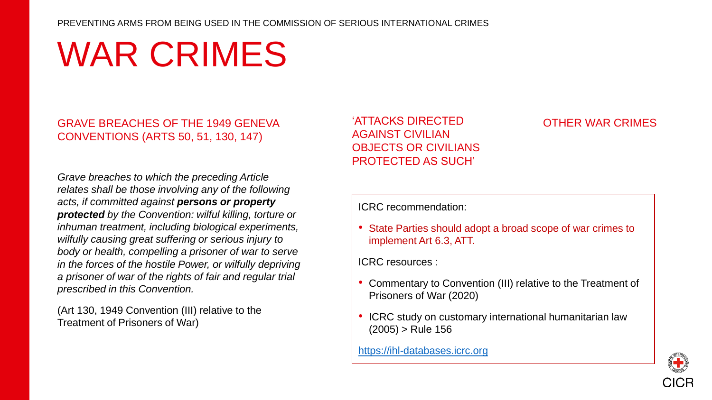#### PREVENTING ARMS FROM BEING USED IN THE COMMISSION OF SERIOUS INTERNATIONAL CRIMES

# WAR CRIMES

### GRAVE BREACHES OF THE 1949 GENEVA CONVENTIONS (ARTS 50, 51, 130, 147)

*Grave breaches to which the preceding Article relates shall be those involving any of the following acts, if committed against persons or property protected by the Convention: wilful killing, torture or inhuman treatment, including biological experiments, wilfully causing great suffering or serious injury to body or health, compelling a prisoner of war to serve in the forces of the hostile Power, or wilfully depriving a prisoner of war of the rights of fair and regular trial prescribed in this Convention.*

(Art 130, 1949 Convention (III) relative to the Treatment of Prisoners of War)

'ATTACKS DIRECTED AGAINST CIVILIAN OBJECTS OR CIVILIANS PROTECTED AS SUCH'

### OTHER WAR CRIMES

ICRC recommendation:

• State Parties should adopt a broad scope of war crimes to implement Art 6.3, ATT.

ICRC resources :

- Commentary to Convention (III) relative to the Treatment of Prisoners of War (2020)
- ICRC study on customary international humanitarian law  $(2005)$  > Rule 156

[https://ihl-databases.icrc.org](https://ihl-databases.icrc.org/)

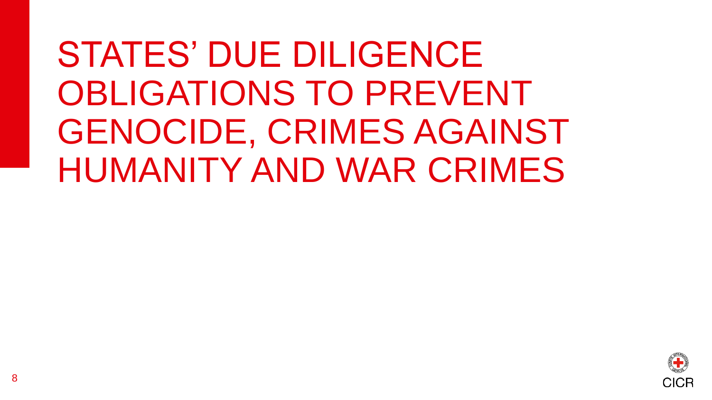STATES' DUE DILIGENCE OBLIGATIONS TO PREVENT GENOCIDE, CRIMES AGAINST HUMANITY AND WAR CRIMES

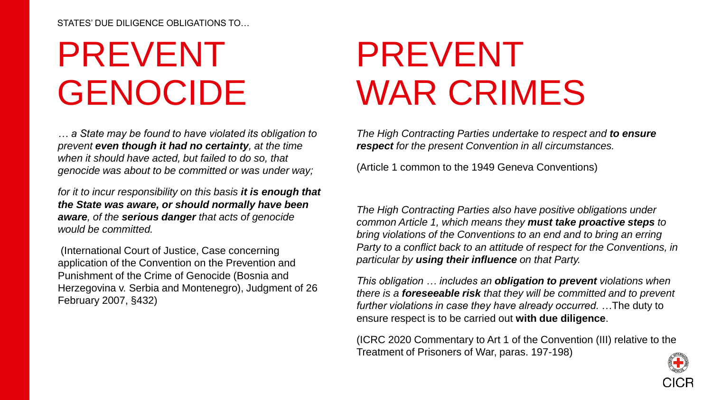#### STATES' DUE DILIGENCE OBLIGATIONS TO…

# PREVENT GENOCIDE

*… a State may be found to have violated its obligation to prevent even though it had no certainty, at the time when it should have acted, but failed to do so, that genocide was about to be committed or was under way;* 

*for it to incur responsibility on this basis it is enough that the State was aware, or should normally have been aware, of the serious danger that acts of genocide would be committed.*

(International Court of Justice, Case concerning application of the Convention on the Prevention and Punishment of the Crime of Genocide (Bosnia and Herzegovina v. Serbia and Montenegro), Judgment of 26 February 2007, §432)

# PREVENT WAR CRIMES

*The High Contracting Parties undertake to respect and to ensure respect for the present Convention in all circumstances.*

(Article 1 common to the 1949 Geneva Conventions)

*The High Contracting Parties also have positive obligations under common Article 1, which means they must take proactive steps to bring violations of the Conventions to an end and to bring an erring Party to a conflict back to an attitude of respect for the Conventions, in particular by using their influence on that Party.* 

*This obligation … includes an obligation to prevent violations when there is a foreseeable risk that they will be committed and to prevent further violations in case they have already occurred. …*The duty to ensure respect is to be carried out **with due diligence**.

(ICRC 2020 Commentary to Art 1 of the Convention (III) relative to the Treatment of Prisoners of War, paras. 197-198)

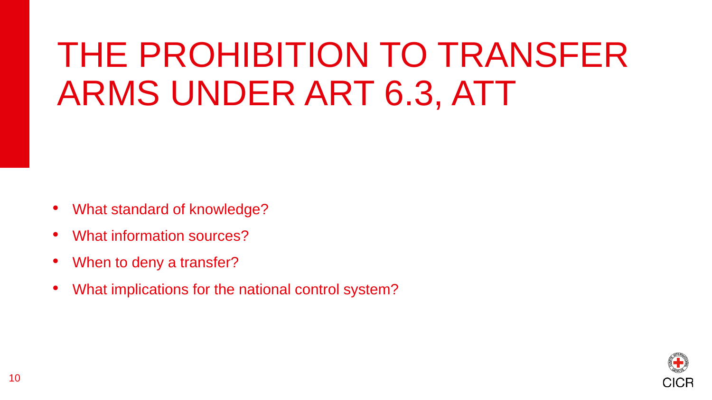# THE PROHIBITION TO TRANSFER ARMS UNDER ART 6.3, ATT

- What standard of knowledge?
- What information sources?
- When to deny a transfer?
- What implications for the national control system?

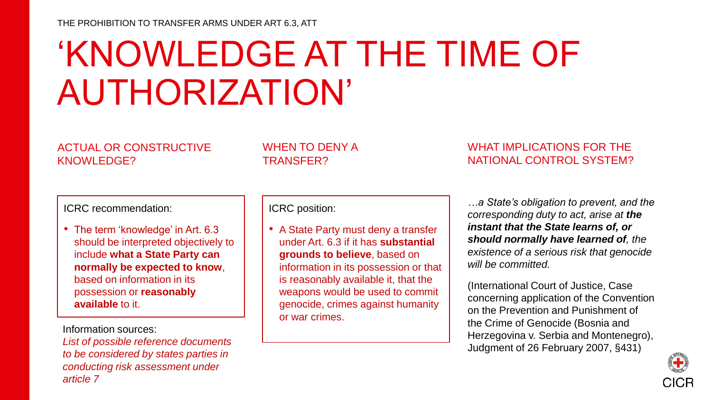# 'KNOWLEDGE AT THE TIME OF AUTHORIZATION'

### ACTUAL OR CONSTRUCTIVE KNOWLEDGE?

### WHEN TO DENY A TRANSFER?

### WHAT IMPLICATIONS FOR THE NATIONAL CONTROL SYSTEM?

### ICRC recommendation:

• The term 'knowledge' in Art. 6.3 should be interpreted objectively to include **what a State Party can normally be expected to know**, based on information in its possession or **reasonably available** to it.

Information sources:

*List of possible reference documents to be considered by states parties in conducting risk assessment under article 7*

ICRC position:

• A State Party must deny a transfer under Art. 6.3 if it has **substantial grounds to believe**, based on information in its possession or that is reasonably available it, that the weapons would be used to commit genocide, crimes against humanity or war crimes.

*…a State's obligation to prevent, and the corresponding duty to act, arise at the instant that the State learns of, or should normally have learned of, the existence of a serious risk that genocide will be committed.*

(International Court of Justice, Case concerning application of the Convention on the Prevention and Punishment of the Crime of Genocide (Bosnia and Herzegovina v. Serbia and Montenegro), Judgment of 26 February 2007, §431)